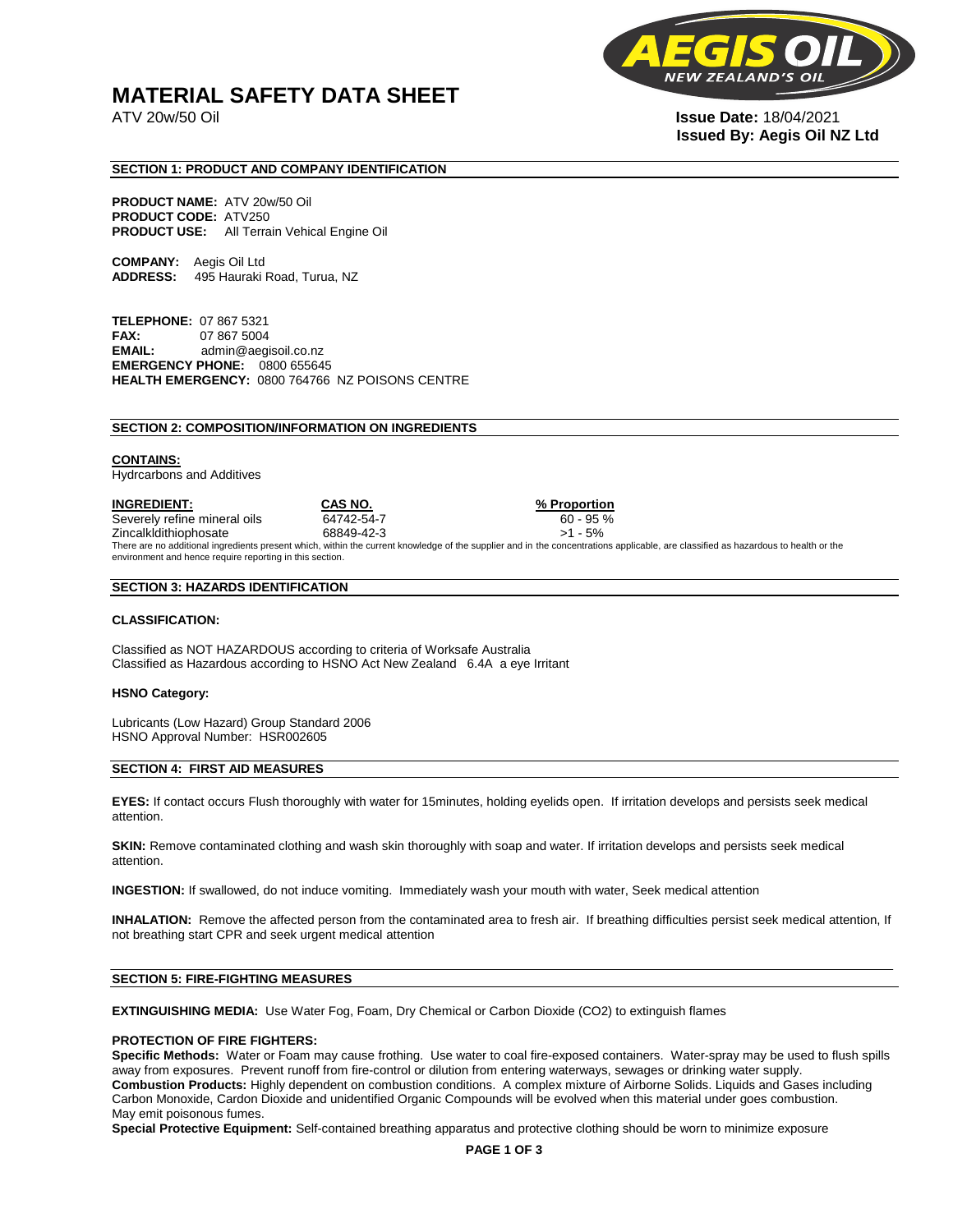# **MATERIAL SAFETY DATA SHEET**

**NEW** 

ATV 20w/50 Oil **Issue Date:** 18/04/2021 **Issued By: Aegis Oil NZ Ltd** 

# **SECTION 1: PRODUCT AND COMPANY IDENTIFICATION**

**PRODUCT NAME:** ATV 20w/50 Oil **PRODUCT CODE:** ATV250 **PRODUCT USE:** All Terrain Vehical Engine Oil

**COMPANY:** Aegis Oil Ltd **ADDRESS:** 495 Hauraki Road, Turua, NZ

**TELEPHONE:** 07 867 5321 **FAX:** 07 867 5004 **EMAIL:** admin@aegisoil.co.nz **EMERGENCY PHONE:** 0800 655645 **HEALTH EMERGENCY:** 0800 764766 NZ POISONS CENTRE

#### **SECTION 2: COMPOSITION/INFORMATION ON INGREDIENTS**

#### **CONTAINS:**

Hydrcarbons and Additives

**INGREDIENT: CAS NO. % Proportion**  Severely refine mineral oils 64742-54-7 60 - 95 % Zincalkldithiophosate 68849-42-3 >1 - 5% There are no additional ingredients present which, within the current knowledge of the supplier and in the concentrations applicable, are classified as hazardous to health or the environment and hence require reporting in this section.

#### **SECTION 3: HAZARDS IDENTIFICATION**

#### **CLASSIFICATION:**

Classified as NOT HAZARDOUS according to criteria of Worksafe Australia Classified as Hazardous according to HSNO Act New Zealand 6.4A a eye Irritant

#### **HSNO Category:**

Lubricants (Low Hazard) Group Standard 2006 HSNO Approval Number: HSR002605

### **SECTION 4: FIRST AID MEASURES**

**EYES:** If contact occurs Flush thoroughly with water for 15minutes, holding eyelids open. If irritation develops and persists seek medical attention.

**SKIN:** Remove contaminated clothing and wash skin thoroughly with soap and water. If irritation develops and persists seek medical attention.

**INGESTION:** If swallowed, do not induce vomiting. Immediately wash your mouth with water, Seek medical attention

**INHALATION:** Remove the affected person from the contaminated area to fresh air. If breathing difficulties persist seek medical attention, If not breathing start CPR and seek urgent medical attention

# **SECTION 5: FIRE-FIGHTING MEASURES**

**EXTINGUISHING MEDIA:** Use Water Fog, Foam, Dry Chemical or Carbon Dioxide (CO2) to extinguish flames

#### **PROTECTION OF FIRE FIGHTERS:**

**Specific Methods:** Water or Foam may cause frothing. Use water to coal fire-exposed containers. Water-spray may be used to flush spills away from exposures. Prevent runoff from fire-control or dilution from entering waterways, sewages or drinking water supply. **Combustion Products:** Highly dependent on combustion conditions. A complex mixture of Airborne Solids. Liquids and Gases including Carbon Monoxide, Cardon Dioxide and unidentified Organic Compounds will be evolved when this material under goes combustion. May emit poisonous fumes.

**Special Protective Equipment:** Self-contained breathing apparatus and protective clothing should be worn to minimize exposure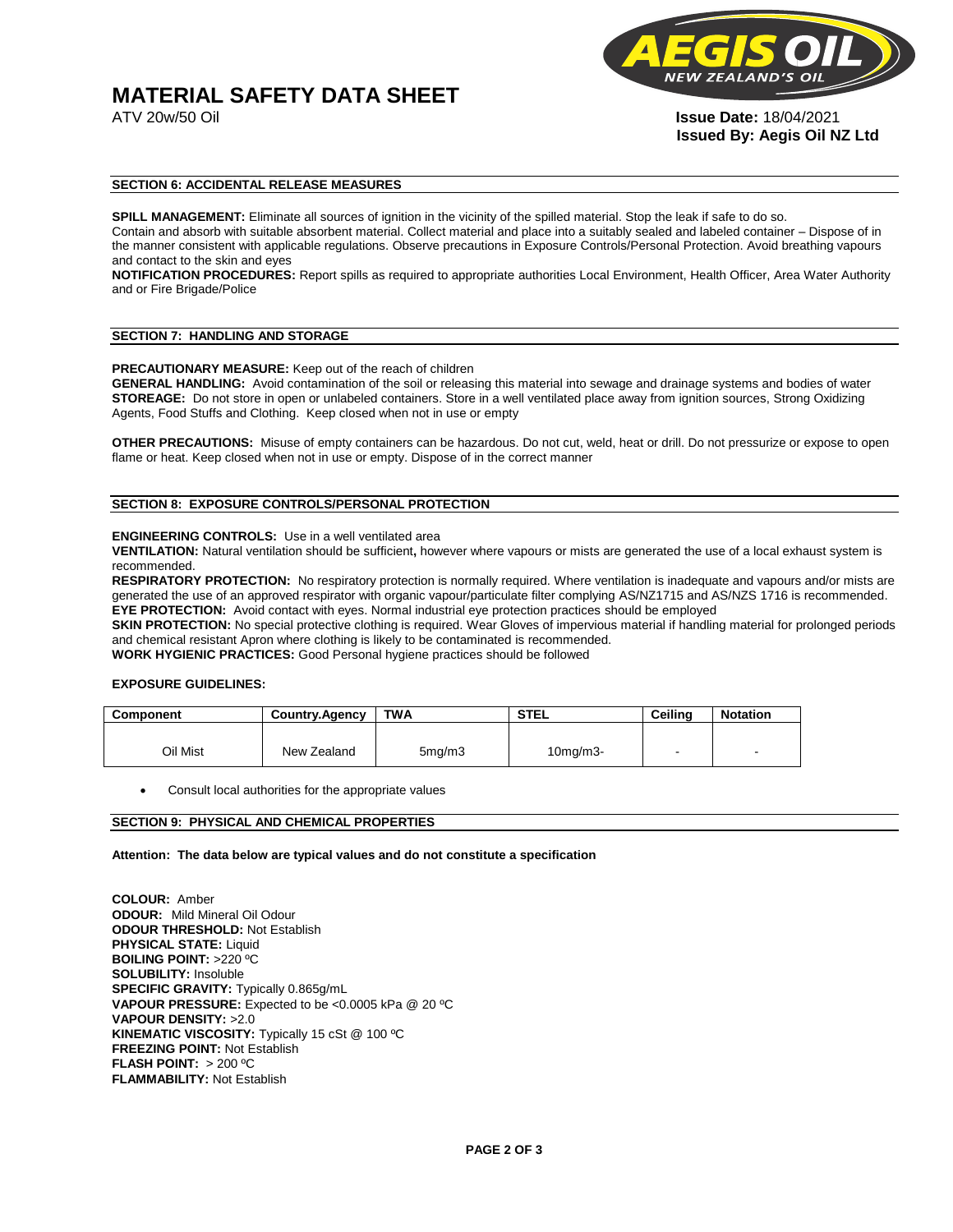# **MATERIAL SAFETY DATA SHEET**



ATV 20w/50 Oil **Issue Date:** 18/04/2021 **Issued By: Aegis Oil NZ Ltd** 

# **SECTION 6: ACCIDENTAL RELEASE MEASURES**

**SPILL MANAGEMENT:** Eliminate all sources of ignition in the vicinity of the spilled material. Stop the leak if safe to do so. Contain and absorb with suitable absorbent material. Collect material and place into a suitably sealed and labeled container – Dispose of in the manner consistent with applicable regulations. Observe precautions in Exposure Controls/Personal Protection. Avoid breathing vapours and contact to the skin and eyes

**NOTIFICATION PROCEDURES:** Report spills as required to appropriate authorities Local Environment, Health Officer, Area Water Authority and or Fire Brigade/Police

#### **SECTION 7: HANDLING AND STORAGE**

**PRECAUTIONARY MEASURE:** Keep out of the reach of children

**GENERAL HANDLING:** Avoid contamination of the soil or releasing this material into sewage and drainage systems and bodies of water **STOREAGE:** Do not store in open or unlabeled containers. Store in a well ventilated place away from ignition sources, Strong Oxidizing Agents, Food Stuffs and Clothing. Keep closed when not in use or empty

**OTHER PRECAUTIONS:** Misuse of empty containers can be hazardous. Do not cut, weld, heat or drill. Do not pressurize or expose to open flame or heat. Keep closed when not in use or empty. Dispose of in the correct manner

# **SECTION 8: EXPOSURE CONTROLS/PERSONAL PROTECTION**

#### **ENGINEERING CONTROLS:** Use in a well ventilated area

**VENTILATION:** Natural ventilation should be sufficient**,** however where vapours or mists are generated the use of a local exhaust system is recommended.

**RESPIRATORY PROTECTION:** No respiratory protection is normally required. Where ventilation is inadequate and vapours and/or mists are generated the use of an approved respirator with organic vapour/particulate filter complying AS/NZ1715 and AS/NZS 1716 is recommended. **EYE PROTECTION:** Avoid contact with eyes. Normal industrial eye protection practices should be employed

**SKIN PROTECTION:** No special protective clothing is required. Wear Gloves of impervious material if handling material for prolonged periods and chemical resistant Apron where clothing is likely to be contaminated is recommended.

**WORK HYGIENIC PRACTICES:** Good Personal hygiene practices should be followed

# **EXPOSURE GUIDELINES:**

| <b>Component</b> | <b>Country.Agency</b> | <b>TWA</b>          | <b>STEL</b>    | Ceilina | <b>Notation</b>          |
|------------------|-----------------------|---------------------|----------------|---------|--------------------------|
|                  |                       |                     |                |         |                          |
| Oil Mist         | New Zealand           | 5 <sub>mq</sub> /m3 | $10$ mg/m $3-$ |         | $\overline{\phantom{a}}$ |

Consult local authorities for the appropriate values

# **SECTION 9: PHYSICAL AND CHEMICAL PROPERTIES**

**Attention: The data below are typical values and do not constitute a specification** 

**COLOUR:** Amber **ODOUR:** Mild Mineral Oil Odour **ODOUR THRESHOLD:** Not Establish **PHYSICAL STATE:** Liquid **BOILING POINT:** >220 ºC **SOLUBILITY:** Insoluble **SPECIFIC GRAVITY:** Typically 0.865g/mL **VAPOUR PRESSURE:** Expected to be <0.0005 kPa @ 20 ºC **VAPOUR DENSITY:** >2.0 **KINEMATIC VISCOSITY:** Typically 15 cSt @ 100 ºC **FREEZING POINT: Not Establish FLASH POINT:** > 200 ºC **FLAMMABILITY:** Not Establish